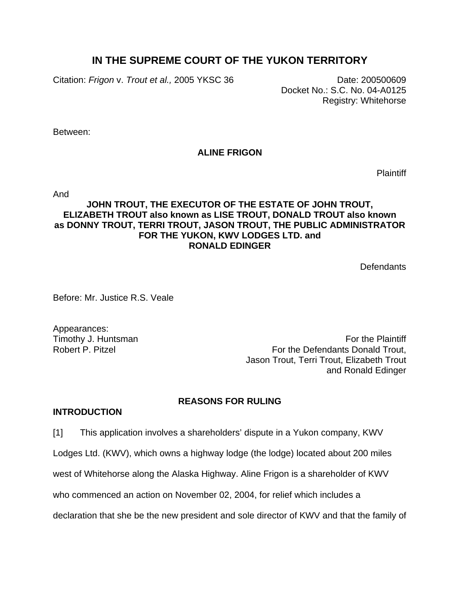# **IN THE SUPREME COURT OF THE YUKON TERRITORY**

Citation: *Frigon* v. *Trout et al.,* 2005 YKSC 36 Date: 200500609

Docket No.: S.C. No. 04-A0125 Registry: Whitehorse

Between:

# **ALINE FRIGON**

**Plaintiff** 

And

# **JOHN TROUT, THE EXECUTOR OF THE ESTATE OF JOHN TROUT, ELIZABETH TROUT also known as LISE TROUT, DONALD TROUT also known as DONNY TROUT, TERRI TROUT, JASON TROUT, THE PUBLIC ADMINISTRATOR FOR THE YUKON, KWV LODGES LTD. and RONALD EDINGER**

**Defendants** 

Before: Mr. Justice R.S. Veale

Appearances:

Timothy J. Huntsman **For the Plaintiff** Robert P. Pitzel For the Defendants Donald Trout, Jason Trout, Terri Trout, Elizabeth Trout and Ronald Edinger

## **REASONS FOR RULING**

#### **INTRODUCTION**

[1] This application involves a shareholders' dispute in a Yukon company, KWV

Lodges Ltd. (KWV), which owns a highway lodge (the lodge) located about 200 miles

west of Whitehorse along the Alaska Highway. Aline Frigon is a shareholder of KWV

who commenced an action on November 02, 2004, for relief which includes a

declaration that she be the new president and sole director of KWV and that the family of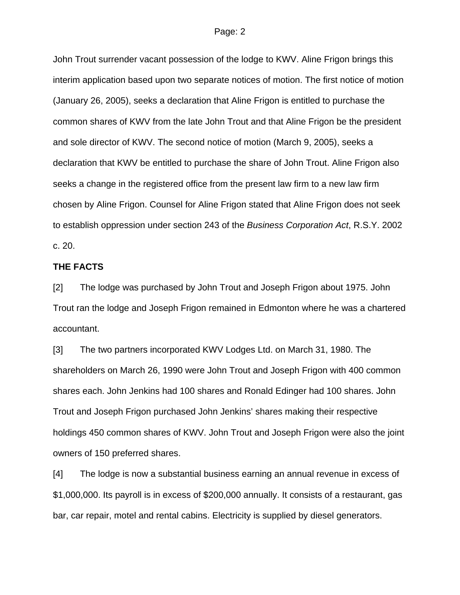John Trout surrender vacant possession of the lodge to KWV. Aline Frigon brings this interim application based upon two separate notices of motion. The first notice of motion (January 26, 2005), seeks a declaration that Aline Frigon is entitled to purchase the common shares of KWV from the late John Trout and that Aline Frigon be the president and sole director of KWV. The second notice of motion (March 9, 2005), seeks a declaration that KWV be entitled to purchase the share of John Trout. Aline Frigon also seeks a change in the registered office from the present law firm to a new law firm chosen by Aline Frigon. Counsel for Aline Frigon stated that Aline Frigon does not seek to establish oppression under section 243 of the *Business Corporation Act*, R.S.Y. 2002 c. 20.

#### **THE FACTS**

[2] The lodge was purchased by John Trout and Joseph Frigon about 1975. John Trout ran the lodge and Joseph Frigon remained in Edmonton where he was a chartered accountant.

[3] The two partners incorporated KWV Lodges Ltd. on March 31, 1980. The shareholders on March 26, 1990 were John Trout and Joseph Frigon with 400 common shares each. John Jenkins had 100 shares and Ronald Edinger had 100 shares. John Trout and Joseph Frigon purchased John Jenkins' shares making their respective holdings 450 common shares of KWV. John Trout and Joseph Frigon were also the joint owners of 150 preferred shares.

[4] The lodge is now a substantial business earning an annual revenue in excess of \$1,000,000. Its payroll is in excess of \$200,000 annually. It consists of a restaurant, gas bar, car repair, motel and rental cabins. Electricity is supplied by diesel generators.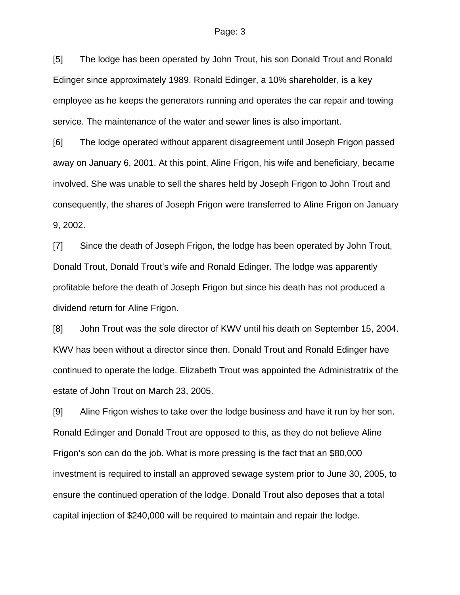[5] The lodge has been operated by John Trout, his son Donald Trout and Ronald Edinger since approximately 1989. Ronald Edinger, a 10% shareholder, is a key employee as he keeps the generators running and operates the car repair and towing service. The maintenance of the water and sewer lines is also important.

[6] The lodge operated without apparent disagreement until Joseph Frigon passed away on January 6, 2001. At this point, Aline Frigon, his wife and beneficiary, became involved. She was unable to sell the shares held by Joseph Frigon to John Trout and consequently, the shares of Joseph Frigon were transferred to Aline Frigon on January 9, 2002.

[7] Since the death of Joseph Frigon, the lodge has been operated by John Trout, Donald Trout, Donald Trout's wife and Ronald Edinger. The lodge was apparently profitable before the death of Joseph Frigon but since his death has not produced a dividend return for Aline Frigon.

[8] John Trout was the sole director of KWV until his death on September 15, 2004. KWV has been without a director since then. Donald Trout and Ronald Edinger have continued to operate the lodge. Elizabeth Trout was appointed the Administratrix of the estate of John Trout on March 23, 2005.

[9] Aline Frigon wishes to take over the lodge business and have it run by her son. Ronald Edinger and Donald Trout are opposed to this, as they do not believe Aline Frigon's son can do the job. What is more pressing is the fact that an \$80,000 investment is required to install an approved sewage system prior to June 30, 2005, to ensure the continued operation of the lodge. Donald Trout also deposes that a total capital injection of \$240,000 will be required to maintain and repair the lodge.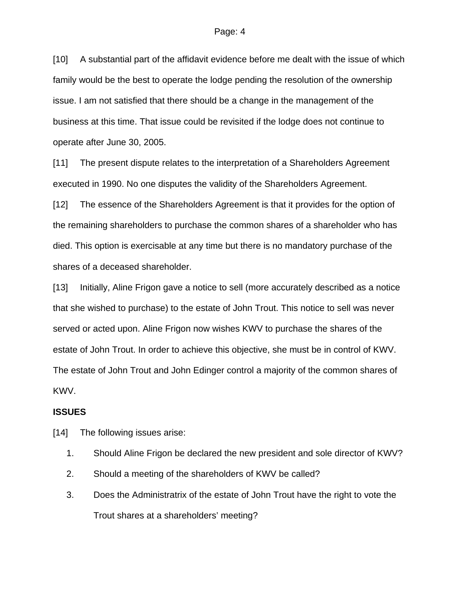[10] A substantial part of the affidavit evidence before me dealt with the issue of which family would be the best to operate the lodge pending the resolution of the ownership issue. I am not satisfied that there should be a change in the management of the business at this time. That issue could be revisited if the lodge does not continue to operate after June 30, 2005.

[11] The present dispute relates to the interpretation of a Shareholders Agreement executed in 1990. No one disputes the validity of the Shareholders Agreement.

[12] The essence of the Shareholders Agreement is that it provides for the option of the remaining shareholders to purchase the common shares of a shareholder who has died. This option is exercisable at any time but there is no mandatory purchase of the shares of a deceased shareholder.

[13] Initially, Aline Frigon gave a notice to sell (more accurately described as a notice that she wished to purchase) to the estate of John Trout. This notice to sell was never served or acted upon. Aline Frigon now wishes KWV to purchase the shares of the estate of John Trout. In order to achieve this objective, she must be in control of KWV. The estate of John Trout and John Edinger control a majority of the common shares of KWV.

#### **ISSUES**

[14] The following issues arise:

- 1. Should Aline Frigon be declared the new president and sole director of KWV?
- 2. Should a meeting of the shareholders of KWV be called?
- 3. Does the Administratrix of the estate of John Trout have the right to vote the Trout shares at a shareholders' meeting?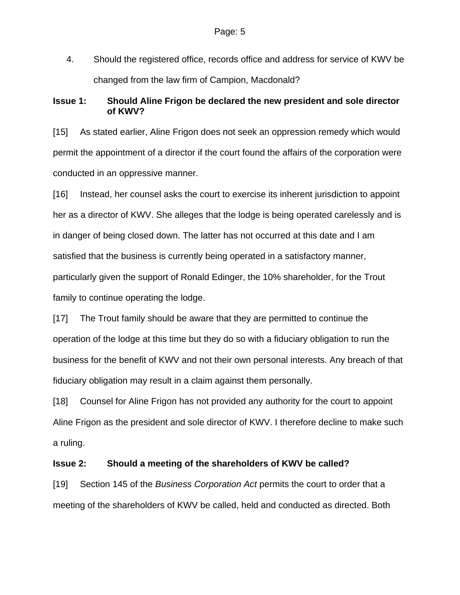4. Should the registered office, records office and address for service of KWV be changed from the law firm of Campion, Macdonald?

## **Issue 1: Should Aline Frigon be declared the new president and sole director of KWV?**

[15] As stated earlier, Aline Frigon does not seek an oppression remedy which would permit the appointment of a director if the court found the affairs of the corporation were conducted in an oppressive manner.

[16] Instead, her counsel asks the court to exercise its inherent jurisdiction to appoint her as a director of KWV. She alleges that the lodge is being operated carelessly and is in danger of being closed down. The latter has not occurred at this date and I am satisfied that the business is currently being operated in a satisfactory manner, particularly given the support of Ronald Edinger, the 10% shareholder, for the Trout family to continue operating the lodge.

[17] The Trout family should be aware that they are permitted to continue the operation of the lodge at this time but they do so with a fiduciary obligation to run the business for the benefit of KWV and not their own personal interests. Any breach of that fiduciary obligation may result in a claim against them personally.

[18] Counsel for Aline Frigon has not provided any authority for the court to appoint Aline Frigon as the president and sole director of KWV. I therefore decline to make such a ruling.

#### **Issue 2: Should a meeting of the shareholders of KWV be called?**

[19] Section 145 of the *Business Corporation Act* permits the court to order that a meeting of the shareholders of KWV be called, held and conducted as directed. Both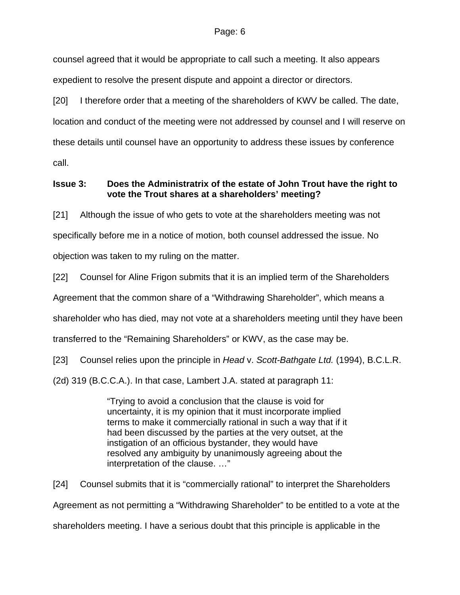counsel agreed that it would be appropriate to call such a meeting. It also appears expedient to resolve the present dispute and appoint a director or directors.

[20] I therefore order that a meeting of the shareholders of KWV be called. The date, location and conduct of the meeting were not addressed by counsel and I will reserve on these details until counsel have an opportunity to address these issues by conference call.

# **Issue 3: Does the Administratrix of the estate of John Trout have the right to vote the Trout shares at a shareholders' meeting?**

[21] Although the issue of who gets to vote at the shareholders meeting was not specifically before me in a notice of motion, both counsel addressed the issue. No objection was taken to my ruling on the matter.

[22] Counsel for Aline Frigon submits that it is an implied term of the Shareholders Agreement that the common share of a "Withdrawing Shareholder", which means a shareholder who has died, may not vote at a shareholders meeting until they have been transferred to the "Remaining Shareholders" or KWV, as the case may be.

[23] Counsel relies upon the principle in *Head* v. *Scott-Bathgate Ltd.* (1994), B.C.L.R.

(2d) 319 (B.C.C.A.). In that case, Lambert J.A. stated at paragraph 11:

"Trying to avoid a conclusion that the clause is void for uncertainty, it is my opinion that it must incorporate implied terms to make it commercially rational in such a way that if it had been discussed by the parties at the very outset, at the instigation of an officious bystander, they would have resolved any ambiguity by unanimously agreeing about the interpretation of the clause. …"

[24] Counsel submits that it is "commercially rational" to interpret the Shareholders Agreement as not permitting a "Withdrawing Shareholder" to be entitled to a vote at the shareholders meeting. I have a serious doubt that this principle is applicable in the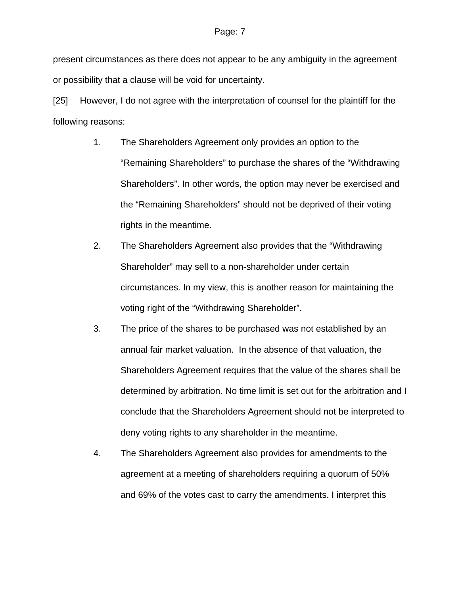present circumstances as there does not appear to be any ambiguity in the agreement or possibility that a clause will be void for uncertainty.

[25] However, I do not agree with the interpretation of counsel for the plaintiff for the following reasons:

- 1. The Shareholders Agreement only provides an option to the "Remaining Shareholders" to purchase the shares of the "Withdrawing Shareholders". In other words, the option may never be exercised and the "Remaining Shareholders" should not be deprived of their voting rights in the meantime.
- 2. The Shareholders Agreement also provides that the "Withdrawing Shareholder" may sell to a non-shareholder under certain circumstances. In my view, this is another reason for maintaining the voting right of the "Withdrawing Shareholder".
- 3. The price of the shares to be purchased was not established by an annual fair market valuation. In the absence of that valuation, the Shareholders Agreement requires that the value of the shares shall be determined by arbitration. No time limit is set out for the arbitration and I conclude that the Shareholders Agreement should not be interpreted to deny voting rights to any shareholder in the meantime.
- 4. The Shareholders Agreement also provides for amendments to the agreement at a meeting of shareholders requiring a quorum of 50% and 69% of the votes cast to carry the amendments. I interpret this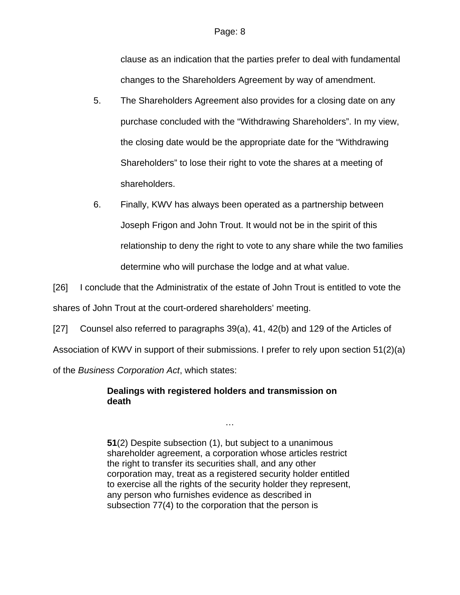clause as an indication that the parties prefer to deal with fundamental changes to the Shareholders Agreement by way of amendment.

- 5. The Shareholders Agreement also provides for a closing date on any purchase concluded with the "Withdrawing Shareholders". In my view, the closing date would be the appropriate date for the "Withdrawing Shareholders" to lose their right to vote the shares at a meeting of shareholders.
- 6. Finally, KWV has always been operated as a partnership between Joseph Frigon and John Trout. It would not be in the spirit of this relationship to deny the right to vote to any share while the two families determine who will purchase the lodge and at what value.

[26] I conclude that the Administratix of the estate of John Trout is entitled to vote the shares of John Trout at the court-ordered shareholders' meeting.

[27] Counsel also referred to paragraphs 39(a), 41, 42(b) and 129 of the Articles of

Association of KWV in support of their submissions. I prefer to rely upon section 51(2)(a)

of the *Business Corporation Act*, which states:

# **Dealings with registered holders and transmission on death**

**51**(2) Despite subsection (1), but subject to a unanimous shareholder agreement, a corporation whose articles restrict the right to transfer its securities shall, and any other corporation may, treat as a registered security holder entitled to exercise all the rights of the security holder they represent, any person who furnishes evidence as described in subsection 77(4) to the corporation that the person is

…